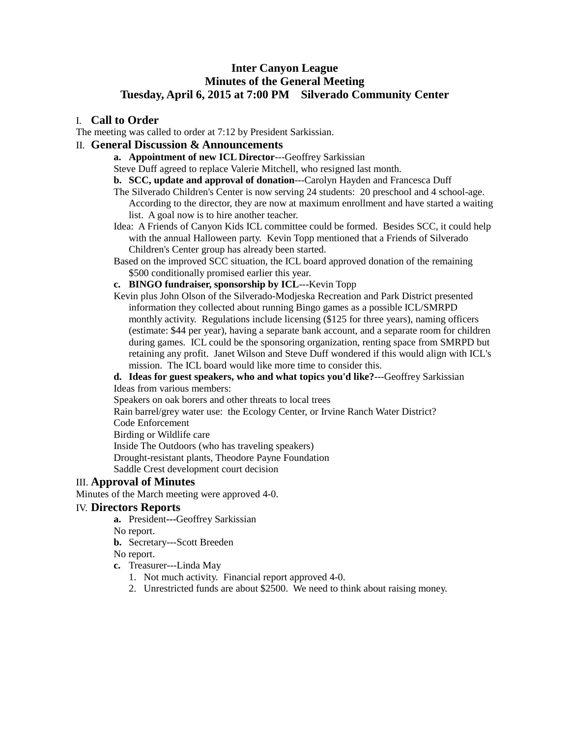# **Inter Canyon League Minutes of the General Meeting Tuesday, April 6, 2015 at 7:00 PM Silverado Community Center**

## I. **Call to Order**

The meeting was called to order at 7:12 by President Sarkissian.

# II. **General Discussion & Announcements**

**a. Appointment of new ICL Director**---Geoffrey Sarkissian

Steve Duff agreed to replace Valerie Mitchell, who resigned last month.

**b. SCC, update and approval of donation**---Carolyn Hayden and Francesca Duff

- The Silverado Children's Center is now serving 24 students: 20 preschool and 4 school-age. According to the director, they are now at maximum enrollment and have started a waiting list. A goal now is to hire another teacher.
- Idea: A Friends of Canyon Kids ICL committee could be formed. Besides SCC, it could help with the annual Halloween party. Kevin Topp mentioned that a Friends of Silverado Children's Center group has already been started.
- Based on the improved SCC situation, the ICL board approved donation of the remaining \$500 conditionally promised earlier this year.
- **c. BINGO fundraiser, sponsorship by ICL**---Kevin Topp

Kevin plus John Olson of the Silverado-Modjeska Recreation and Park District presented information they collected about running Bingo games as a possible ICL/SMRPD monthly activity. Regulations include licensing (\$125 for three years), naming officers (estimate: \$44 per year), having a separate bank account, and a separate room for children during games. ICL could be the sponsoring organization, renting space from SMRPD but retaining any profit. Janet Wilson and Steve Duff wondered if this would align with ICL's mission. The ICL board would like more time to consider this.

## **d. Ideas for guest speakers, who and what topics you'd like?**---Geoffrey Sarkissian Ideas from various members:

Speakers on oak borers and other threats to local trees

Rain barrel/grey water use: the Ecology Center, or Irvine Ranch Water District?

Code Enforcement

Birding or Wildlife care

Inside The Outdoors (who has traveling speakers)

Drought-resistant plants, Theodore Payne Foundation

Saddle Crest development court decision

# III. **Approval of Minutes**

Minutes of the March meeting were approved 4-0.

# IV. **Directors Reports**

**a.** President**---**Geoffrey Sarkissian

No report.

**b.** Secretary---Scott Breeden

No report.

- **c.** Treasurer---Linda May
	- 1. Not much activity. Financial report approved 4-0.
	- 2. Unrestricted funds are about \$2500. We need to think about raising money.